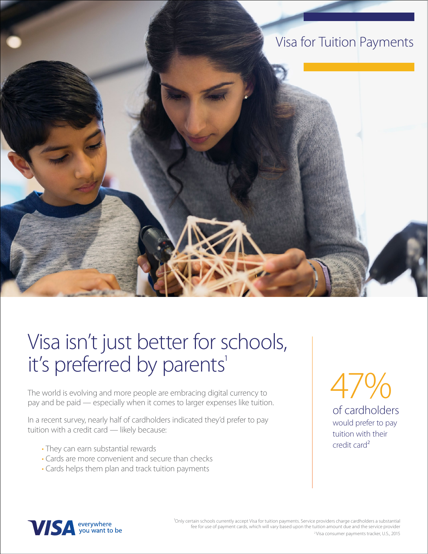

## Visa isn't just better for schools, it's preferred by parents'

The world is evolving and more people are embracing digital currency to pay and be paid — especially when it comes to larger expenses like tuition.

In a recent survey, nearly half of cardholders indicated they'd prefer to pay tuition with a credit card — likely because:

- They can earn substantial rewards
- Cards are more convenient and secure than checks
- Cards helps them plan and track tuition payments

of cardholders would prefer to pay  $4/9/0$ 

tuition with their

credit card²



<sup>1</sup>Only certain schools currently accept Visa for tuition payments. Service providers charge cardholders a substantial fee for use of payment cards, which will vary based upon the tuition amount due and the service provider 2 Visa consumer payments tracker, U.S., 2015